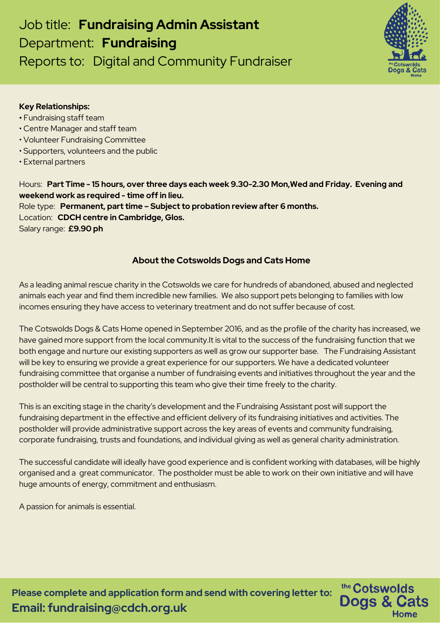# Job title: **Fundraising Admin Assistant** Department: **Fundraising** Reports to: Digital and Community Fundraiser



the Cotswolds

**Dogs & Cats** 

Home

#### **Key Relationships:**

- **•** Fundraising staff team
- Centre Manager and staff team
- Volunteer Fundraising Committee
- Supporters, volunteers and the public
- External partners

Hours: **Part Time - 15 hours, over three days each week 9.30-2.30 Mon,Wed and Friday. Evening and weekend work as required - time off in lieu.** Role type: **Permanent, part time – Subject to probation review after 6 months.** Location: **CDCH centre in Cambridge, Glos.** Salary range: **£9.90 ph**

## **About the Cotswolds Dogs and Cats Home**

As a leading animal rescue charity in the Cotswolds we care for hundreds of abandoned, abused and neglected animals each year and find them incredible new families. We also support pets belonging to families with low incomes ensuring they have access to veterinary treatment and do not suffer because of cost.

The Cotswolds Dogs & Cats Home opened in September 2016, and as the profile of the charity has increased, we have gained more support from the local community.It is vital to the success of the fundraising function that we both engage and nurture our existing supporters as well as grow our supporter base. The Fundraising Assistant will be key to ensuring we provide a great experience for our supporters. We have a dedicated volunteer fundraising committee that organise a number of fundraising events and initiatives throughout the year and the postholder will be central to supporting this team who give their time freely to the charity.

This is an exciting stage in the charity's development and the Fundraising Assistant post will support the fundraising department in the effective and efficient delivery of its fundraising initiatives and activities. The postholder will provide administrative support across the key areas of events and community fundraising, corporate fundraising, trusts and foundations, and individual giving as well as general charity administration.

The successful candidate will ideally have good experience and is confident working with databases, will be highly organised and a great communicator. The postholder must be able to work on their own initiative and will have huge amounts of energy, commitment and enthusiasm.

A passion for animals is essential.

**Please complete and application form and send with covering letter to: Email: fundraising@cdch.org.uk**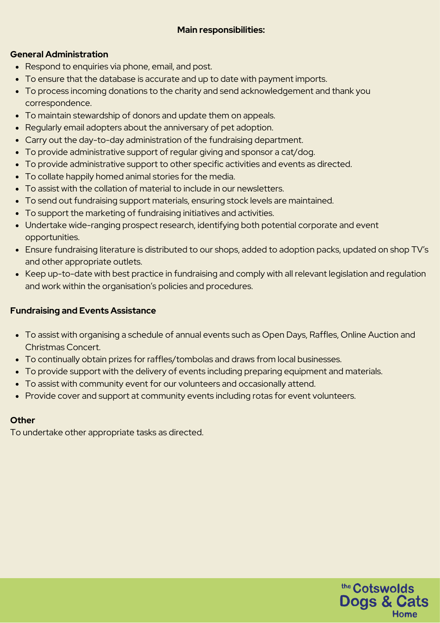## **Main responsibilities:**

## **General Administration**

- Respond to enquiries via phone, email, and post.
- To ensure that the database is accurate and up to date with payment imports.
- To process incoming donations to the charity and send acknowledgement and thank you correspondence.
- To maintain stewardship of donors and update them on appeals.
- Regularly email adopters about the anniversary of pet adoption.
- Carry out the day-to-day administration of the fundraising department.
- To provide administrative support of regular giving and sponsor a cat/dog.
- To provide administrative support to other specific activities and events as directed.
- To collate happily homed animal stories for the media.
- To assist with the collation of material to include in our newsletters.
- To send out fundraising support materials, ensuring stock levels are maintained.
- To support the marketing of fundraising initiatives and activities.
- Undertake wide-ranging prospect research, identifying both potential corporate and event opportunities.
- Ensure fundraising literature is distributed to our shops, added to adoption packs, updated on shop TV's and other appropriate outlets.
- Keep up-to-date with best practice in fundraising and comply with all relevant legislation and regulation and work within the organisation's policies and procedures.

## **Fundraising and Events Assistance**

- To assist with organising a schedule of annual events such as Open Days, Raffles, Online Auction and Christmas Concert.
- To continually obtain prizes for raffles/tombolas and draws from local businesses.
- To provide support with the delivery of events including preparing equipment and materials.
- To assist with community event for our volunteers and occasionally attend.
- Provide cover and support at community events including rotas for event volunteers.

## **Other**

To undertake other appropriate tasks as directed.